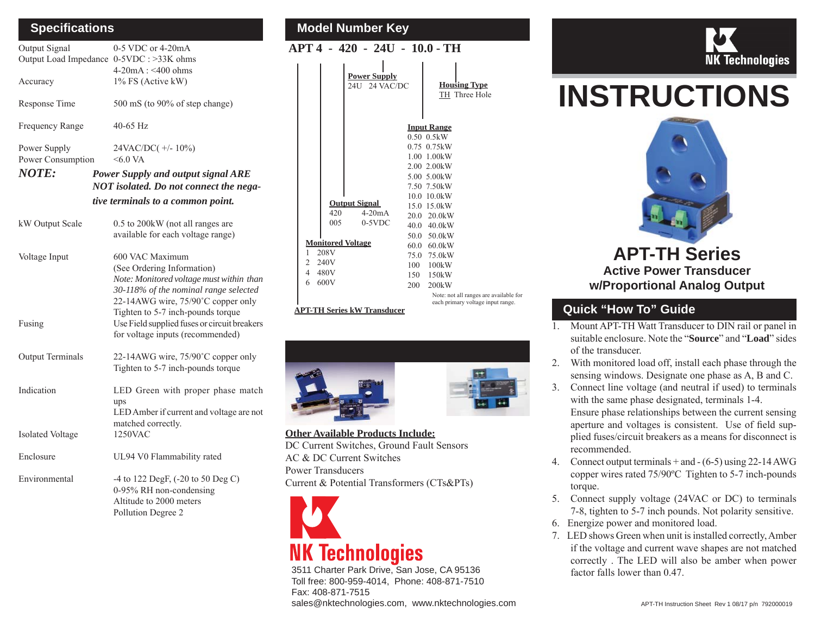## **Speci fi cations**

| Output Signal                            | 0-5 VDC or 4-20mA                                                                 |  |  |  |  |
|------------------------------------------|-----------------------------------------------------------------------------------|--|--|--|--|
| Output Load Impedance 0-5VDC : >33K ohms |                                                                                   |  |  |  |  |
|                                          | $4-20mA : < 400 ohms$                                                             |  |  |  |  |
| Accuracy                                 | 1% FS (Active kW)                                                                 |  |  |  |  |
| Response Time                            | 500 mS (to 90% of step change)                                                    |  |  |  |  |
| Frequency Range                          | $40-65$ Hz                                                                        |  |  |  |  |
| Power Supply                             | 24VAC/DC(+/-10%)                                                                  |  |  |  |  |
| Power Consumption                        | $&5.0\text{ VA}$                                                                  |  |  |  |  |
| <b>NOTE:</b>                             | Power Supply and output signal ARE                                                |  |  |  |  |
| NOT isolated. Do not connect the nega-   |                                                                                   |  |  |  |  |
| tive terminals to a common point.        |                                                                                   |  |  |  |  |
| kW Output Scale                          | 0.5 to 200 kW (not all ranges are                                                 |  |  |  |  |
|                                          | available for each voltage range)                                                 |  |  |  |  |
| Voltage Input                            | 600 VAC Maximum                                                                   |  |  |  |  |
|                                          | (See Ordering Information)                                                        |  |  |  |  |
|                                          | Note: Monitored voltage must within than                                          |  |  |  |  |
|                                          | 30-118% of the nominal range selected<br>22-14AWG wire, 75/90°C copper only       |  |  |  |  |
| Fusing                                   | Tighten to 5-7 inch-pounds torque<br>Use Field supplied fuses or circuit breakers |  |  |  |  |
|                                          | for voltage inputs (recommended)                                                  |  |  |  |  |
| <b>Output Terminals</b>                  | 22-14AWG wire, 75/90°C copper only                                                |  |  |  |  |
|                                          | Tighten to 5-7 inch-pounds torque                                                 |  |  |  |  |
| Indication                               | LED Green with proper phase match                                                 |  |  |  |  |
|                                          | ups                                                                               |  |  |  |  |
|                                          | LED Amber if current and voltage are not                                          |  |  |  |  |
|                                          | matched correctly.                                                                |  |  |  |  |
| <b>Isolated Voltage</b>                  | 1250VAC                                                                           |  |  |  |  |
| Enclosure                                | UL94 V0 Flammability rated                                                        |  |  |  |  |
| Environmental                            | -4 to 122 DegF, (-20 to 50 Deg C)                                                 |  |  |  |  |
|                                          | 0-95% RH non-condensing                                                           |  |  |  |  |
|                                          | Altitude to 2000 meters                                                           |  |  |  |  |

Pollution Degree 2

# **Model Number Key**

## **APT 4 - 420 - 24U - 10.0 - TH**

|                          |      | <b>Power Supply</b><br>24U 24 VAC/DC |                       | <b>Housing Type</b><br>TH Three Hole                                        |
|--------------------------|------|--------------------------------------|-----------------------|-----------------------------------------------------------------------------|
|                          |      |                                      |                       | <b>Input Range</b>                                                          |
|                          |      |                                      |                       | 0.50~0.5kW                                                                  |
|                          |      |                                      |                       | $0.75$ $0.75$ kW                                                            |
|                          |      |                                      |                       | $1.00$ $1.00$ kW                                                            |
|                          |      |                                      |                       | 2.00 2.00 kW                                                                |
|                          |      |                                      |                       | 5.00 5.00 kW                                                                |
|                          |      |                                      |                       | 7.50 7.50 kW                                                                |
|                          |      |                                      |                       | 10.0 10.0kW                                                                 |
|                          |      | <b>Output Signal</b>                 |                       | 15.0 15.0 kW                                                                |
|                          | 420  | $4-20mA$                             |                       | $20.0\quad 20.0$ kW                                                         |
|                          | 005  | $0-5$ VDC                            |                       | 40.0 40.0 kW                                                                |
|                          |      |                                      |                       | 50.0 50.0kW                                                                 |
| <b>Monitored Voltage</b> |      | 60.0                                 | $60.0$ <sub>k</sub> W |                                                                             |
| 1                        | 208V |                                      |                       | 75.0 75.0 kW                                                                |
| 2                        | 240V |                                      | 100                   | 100kW                                                                       |
| 4                        | 480V |                                      | 150                   | 150kW                                                                       |
| 6                        | 600V |                                      | 200                   | 200kW                                                                       |
|                          |      |                                      |                       | Note: not all ranges are available for<br>each primary voltage input range. |

#### **APT-TH Series kW Transducer**



#### **Other Available Products Include:** DC Current Switches, Ground Fault Sensors AC & DC Current SwitchesPower TransducersCurrent & Potential Transformers (CTs&PTs)



3511 Charter Park Drive, San Jose, CA 95136 Toll free: 800-959-4014, Phone: 408-871-7510 Fax: 408-871-7515sales@nktechnologies.com, www.nktechnologies.com



# **INSTRUCTIONS**



# **Quick "How To" Guide**

1. Mount APT-TH Watt Transducer to DIN rail or panel in suitable enclosure. Note the "**Source**" and "**Load**" sides of the transducer.

**w/Proportional Analog Output**

- 2. With monitored load off, install each phase through the sensing windows. Designate one phase as A, B and C.
- 3. Connect line voltage (and neutral if used) to terminals with the same phase designated, terminals 1-4. Ensure phase relationships between the current sensing aperture and voltages is consistent. Use of field supplied fuses/circuit breakers as a means for disconnect is recommended.
- 4. Connect output terminals + and (6-5) using 22-14 AWG copper wires rated 75/90ºC Tighten to 5-7 inch-pounds torque.
- 5. Connect supply voltage (24VAC or DC) to terminals 7-8, tighten to 5-7 inch pounds. Not polarity sensitive.
- 6. Energize power and monitored load.
- 7. LED shows Green when unit is installed correctly, Amber if the voltage and current wave shapes are not matched correctly . The LED will also be amber when power factor falls lower than 0.47.